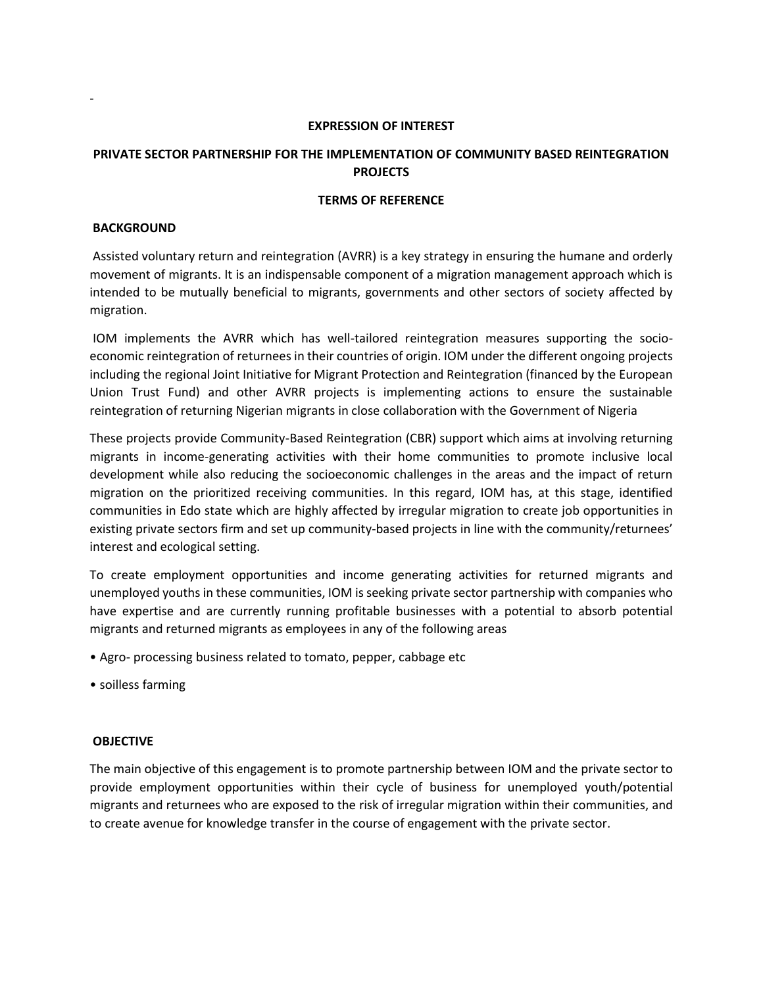#### **EXPRESSION OF INTEREST**

# **PRIVATE SECTOR PARTNERSHIP FOR THE IMPLEMENTATION OF COMMUNITY BASED REINTEGRATION PROJECTS**

#### **TERMS OF REFERENCE**

#### **BACKGROUND**

-

Assisted voluntary return and reintegration (AVRR) is a key strategy in ensuring the humane and orderly movement of migrants. It is an indispensable component of a migration management approach which is intended to be mutually beneficial to migrants, governments and other sectors of society affected by migration.

IOM implements the AVRR which has well-tailored reintegration measures supporting the socioeconomic reintegration of returnees in their countries of origin. IOM under the different ongoing projects including the regional Joint Initiative for Migrant Protection and Reintegration (financed by the European Union Trust Fund) and other AVRR projects is implementing actions to ensure the sustainable reintegration of returning Nigerian migrants in close collaboration with the Government of Nigeria

These projects provide Community-Based Reintegration (CBR) support which aims at involving returning migrants in income-generating activities with their home communities to promote inclusive local development while also reducing the socioeconomic challenges in the areas and the impact of return migration on the prioritized receiving communities. In this regard, IOM has, at this stage, identified communities in Edo state which are highly affected by irregular migration to create job opportunities in existing private sectors firm and set up community-based projects in line with the community/returnees' interest and ecological setting.

To create employment opportunities and income generating activities for returned migrants and unemployed youths in these communities, IOM is seeking private sector partnership with companies who have expertise and are currently running profitable businesses with a potential to absorb potential migrants and returned migrants as employees in any of the following areas

- Agro- processing business related to tomato, pepper, cabbage etc
- soilless farming

#### **OBJECTIVE**

The main objective of this engagement is to promote partnership between IOM and the private sector to provide employment opportunities within their cycle of business for unemployed youth/potential migrants and returnees who are exposed to the risk of irregular migration within their communities, and to create avenue for knowledge transfer in the course of engagement with the private sector.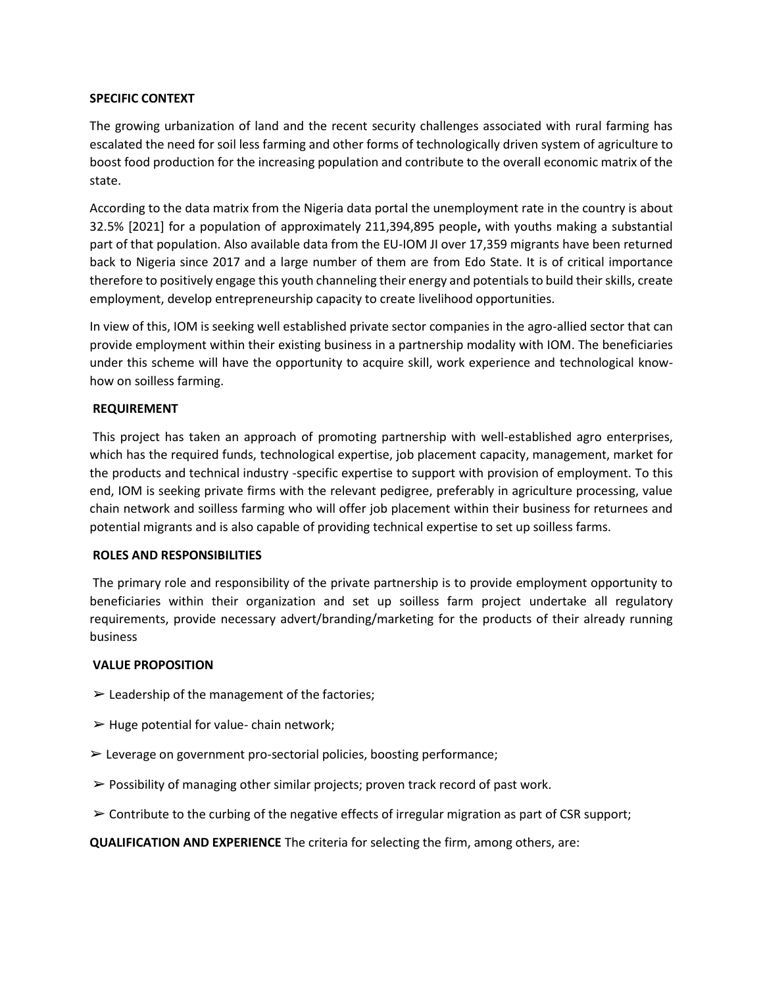## **SPECIFIC CONTEXT**

The growing urbanization of land and the recent security challenges associated with rural farming has escalated the need for soil less farming and other forms of technologically driven system of agriculture to boost food production for the increasing population and contribute to the overall economic matrix of the state.

According to the data matrix from the Nigeria data portal the unemployment rate in the country is about 32.5% [2021] for a population of approximately 211,394,895 people**,** with youths making a substantial part of that population. Also available data from the EU-IOM JI over 17,359 migrants have been returned back to Nigeria since 2017 and a large number of them are from Edo State. It is of critical importance therefore to positively engage this youth channeling their energy and potentials to build their skills, create employment, develop entrepreneurship capacity to create livelihood opportunities.

In view of this, IOM is seeking well established private sector companies in the agro-allied sector that can provide employment within their existing business in a partnership modality with IOM. The beneficiaries under this scheme will have the opportunity to acquire skill, work experience and technological knowhow on soilless farming.

## **REQUIREMENT**

This project has taken an approach of promoting partnership with well-established agro enterprises, which has the required funds, technological expertise, job placement capacity, management, market for the products and technical industry -specific expertise to support with provision of employment. To this end, IOM is seeking private firms with the relevant pedigree, preferably in agriculture processing, value chain network and soilless farming who will offer job placement within their business for returnees and potential migrants and is also capable of providing technical expertise to set up soilless farms.

#### **ROLES AND RESPONSIBILITIES**

The primary role and responsibility of the private partnership is to provide employment opportunity to beneficiaries within their organization and set up soilless farm project undertake all regulatory requirements, provide necessary advert/branding/marketing for the products of their already running business

#### **VALUE PROPOSITION**

- $\blacktriangleright$  Leadership of the management of the factories;
- $\triangleright$  Huge potential for value- chain network;
- $\triangleright$  Leverage on government pro-sectorial policies, boosting performance;
- $\triangleright$  Possibility of managing other similar projects; proven track record of past work.
- $\triangleright$  Contribute to the curbing of the negative effects of irregular migration as part of CSR support;

**QUALIFICATION AND EXPERIENCE** The criteria for selecting the firm, among others, are: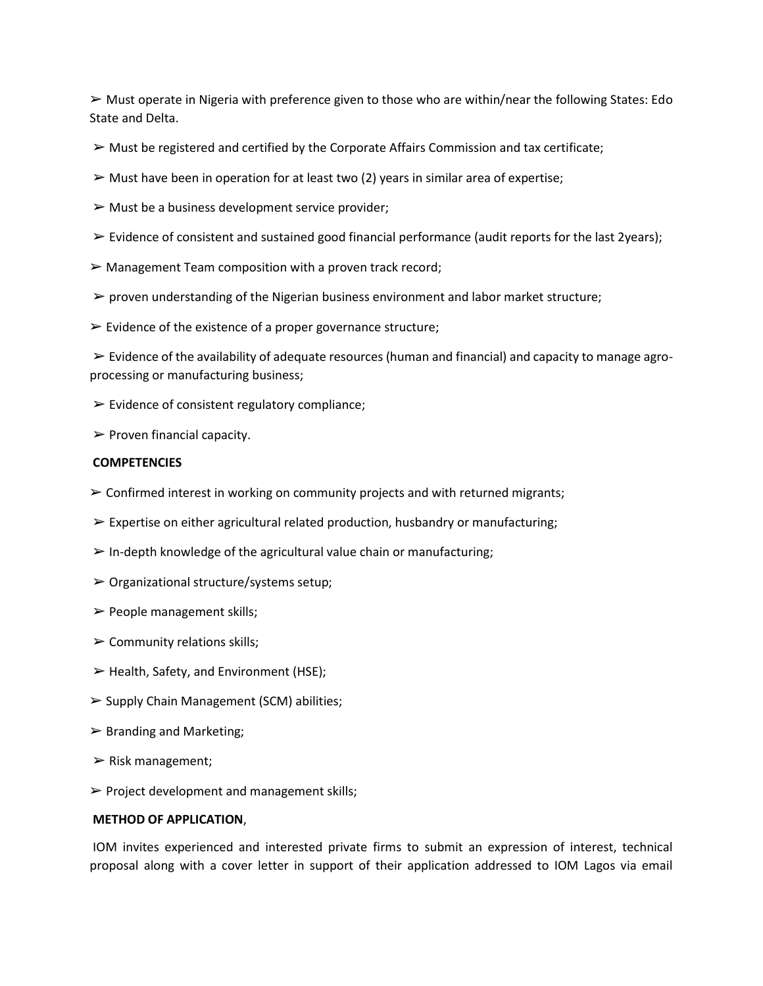$\triangleright$  Must operate in Nigeria with preference given to those who are within/near the following States: Edo State and Delta.

- $\triangleright$  Must be registered and certified by the Corporate Affairs Commission and tax certificate;
- $\triangleright$  Must have been in operation for at least two (2) years in similar area of expertise;
- $\triangleright$  Must be a business development service provider;
- $\triangleright$  Evidence of consistent and sustained good financial performance (audit reports for the last 2years);
- $\triangleright$  Management Team composition with a proven track record;
- $\triangleright$  proven understanding of the Nigerian business environment and labor market structure;
- $\triangleright$  Evidence of the existence of a proper governance structure;

 $\triangleright$  Evidence of the availability of adequate resources (human and financial) and capacity to manage agroprocessing or manufacturing business;

- $\triangleright$  Evidence of consistent regulatory compliance;
- $\triangleright$  Proven financial capacity.

## **COMPETENCIES**

- $\triangleright$  Confirmed interest in working on community projects and with returned migrants;
- $\triangleright$  Expertise on either agricultural related production, husbandry or manufacturing;
- $\triangleright$  In-depth knowledge of the agricultural value chain or manufacturing;
- $\triangleright$  Organizational structure/systems setup;
- $\triangleright$  People management skills;
- $\triangleright$  Community relations skills;
- $\triangleright$  Health, Safety, and Environment (HSE);
- ➢ Supply Chain Management (SCM) abilities;
- $\triangleright$  Branding and Marketing;
- $\triangleright$  Risk management;
- $\triangleright$  Project development and management skills;

#### **METHOD OF APPLICATION**,

IOM invites experienced and interested private firms to submit an expression of interest, technical proposal along with a cover letter in support of their application addressed to IOM Lagos via email